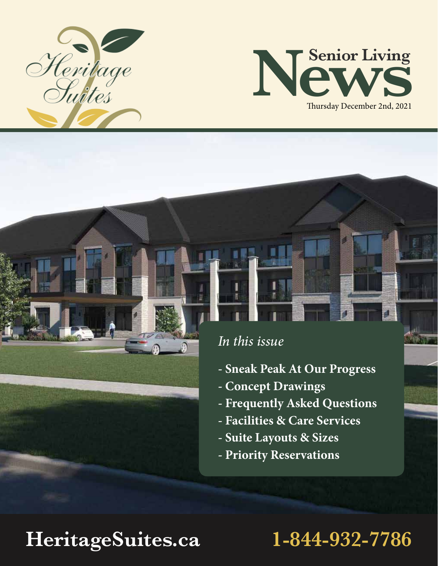



## *In this issue*

i

- **Sneak Peak At Our Progress**
- **Concept Drawings**
- **Frequently Asked Questions**
- **Facilities & Care Services**
- **Suite Layouts & Sizes**
- **Priority Reservations**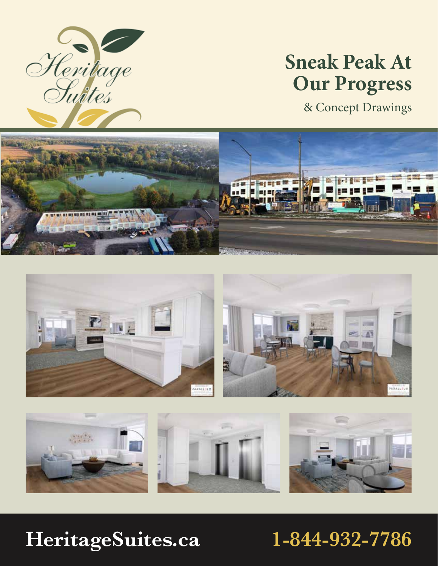

## **Sneak Peak At Our Progress**

& Concept Drawings





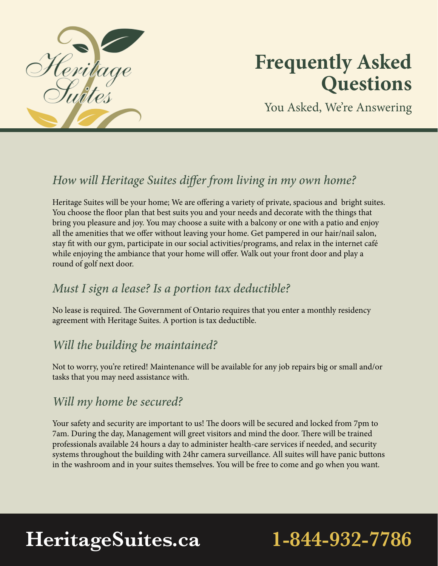

## **Frequently Asked Questions**

You Asked, We're Answering

## *How will Heritage Suites differ from living in my own home?*

Heritage Suites will be your home; We are offering a variety of private, spacious and bright suites. You choose the floor plan that best suits you and your needs and decorate with the things that bring you pleasure and joy. You may choose a suite with a balcony or one with a patio and enjoy all the amenities that we offer without leaving your home. Get pampered in our hair/nail salon, stay fit with our gym, participate in our social activities/programs, and relax in the internet café while enjoying the ambiance that your home will offer. Walk out your front door and play a round of golf next door.

### *Must I sign a lease? Is a portion tax deductible?*

No lease is required. The Government of Ontario requires that you enter a monthly residency agreement with Heritage Suites. A portion is tax deductible.

### *Will the building be maintained?*

Not to worry, you're retired! Maintenance will be available for any job repairs big or small and/or tasks that you may need assistance with.

### *Will my home be secured?*

Your safety and security are important to us! The doors will be secured and locked from 7pm to 7am. During the day, Management will greet visitors and mind the door. There will be trained professionals available 24 hours a day to administer health-care services if needed, and security systems throughout the building with 24hr camera surveillance. All suites will have panic buttons in the washroom and in your suites themselves. You will be free to come and go when you want.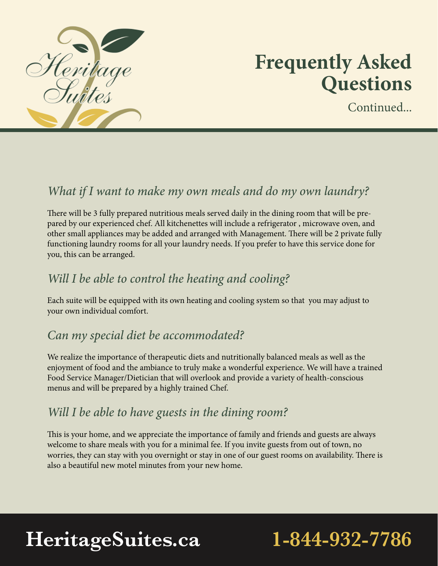

## **Frequently Asked Questions**

Continued.

### *What if I want to make my own meals and do my own laundry?*

There will be 3 fully prepared nutritious meals served daily in the dining room that will be prepared by our experienced chef. All kitchenettes will include a refrigerator , microwave oven, and other small appliances may be added and arranged with Management. There will be 2 private fully functioning laundry rooms for all your laundry needs. If you prefer to have this service done for you, this can be arranged.

### *Will I be able to control the heating and cooling?*

Each suite will be equipped with its own heating and cooling system so that you may adjust to your own individual comfort.

### *Can my special diet be accommodated?*

We realize the importance of therapeutic diets and nutritionally balanced meals as well as the enjoyment of food and the ambiance to truly make a wonderful experience. We will have a trained Food Service Manager/Dietician that will overlook and provide a variety of health-conscious menus and will be prepared by a highly trained Chef.

### *Will I be able to have guests in the dining room?*

This is your home, and we appreciate the importance of family and friends and guests are always welcome to share meals with you for a minimal fee. If you invite guests from out of town, no worries, they can stay with you overnight or stay in one of our guest rooms on availability. There is also a beautiful new motel minutes from your new home.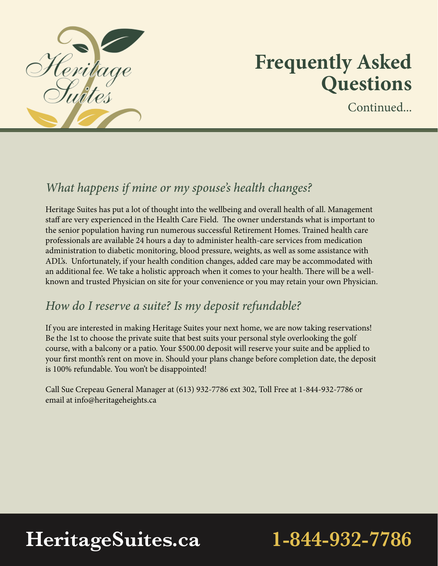

## **Frequently Asked Questions**

Continued.

### *What happens if mine or my spouse's health changes?*

Heritage Suites has put a lot of thought into the wellbeing and overall health of all. Management staff are very experienced in the Health Care Field. The owner understands what is important to the senior population having run numerous successful Retirement Homes. Trained health care professionals are available 24 hours a day to administer health-care services from medication administration to diabetic monitoring, blood pressure, weights, as well as some assistance with ADL's. Unfortunately, if your health condition changes, added care may be accommodated with an additional fee. We take a holistic approach when it comes to your health. There will be a wellknown and trusted Physician on site for your convenience or you may retain your own Physician.

### *How do I reserve a suite? Is my deposit refundable?*

If you are interested in making Heritage Suites your next home, we are now taking reservations! Be the 1st to choose the private suite that best suits your personal style overlooking the golf course, with a balcony or a patio. Your \$500.00 deposit will reserve your suite and be applied to your first month's rent on move in. Should your plans change before completion date, the deposit is 100% refundable. You won't be disappointed!

Call Sue Crepeau General Manager at (613) 932-7786 ext 302, Toll Free at 1-844-932-7786 or email at info@heritageheights.ca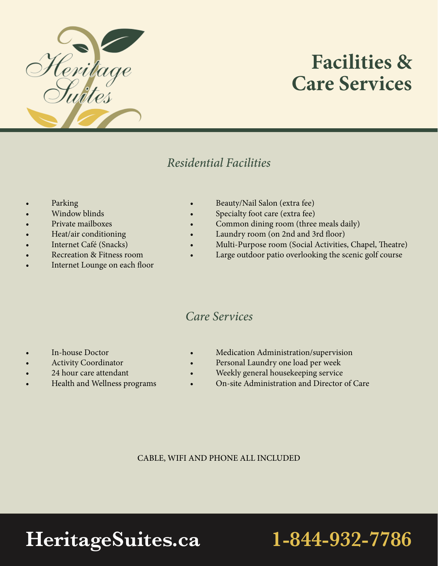

## **Facilities & Care Services**

### *Residential Facilities*

- **Parking**
- **Window blinds**
- Private mailboxes
- Heat/air conditioning
- Internet Café (Snacks)
- Recreation & Fitness room
- Internet Lounge on each floor
- Beauty/Nail Salon (extra fee)
	- Specialty foot care (extra fee)
- Common dining room (three meals daily)
- Laundry room (on 2nd and 3rd floor)
- Multi-Purpose room (Social Activities, Chapel, Theatre)
- Large outdoor patio overlooking the scenic golf course

### *Care Services*

- In-house Doctor
- **Activity Coordinator**
- 24 hour care attendant
- Health and Wellness programs
- Medication Administration/supervision
- Personal Laundry one load per week
- Weekly general housekeeping service
- On-site Administration and Director of Care

CABLE, WIFI AND PHONE ALL INCLUDED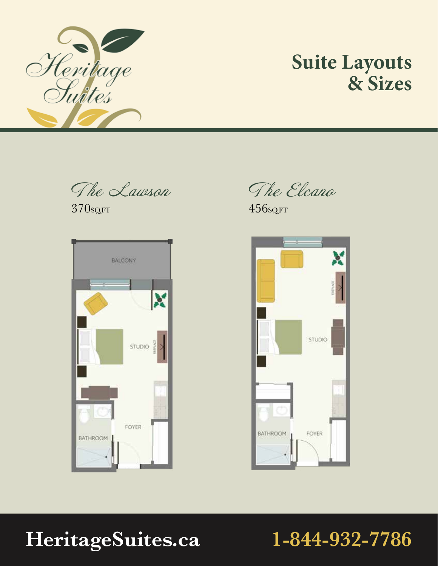

## **Suite Layouts & Sizes**

The Lawson

370SQ.FT



The Elcano

456SQ.FT

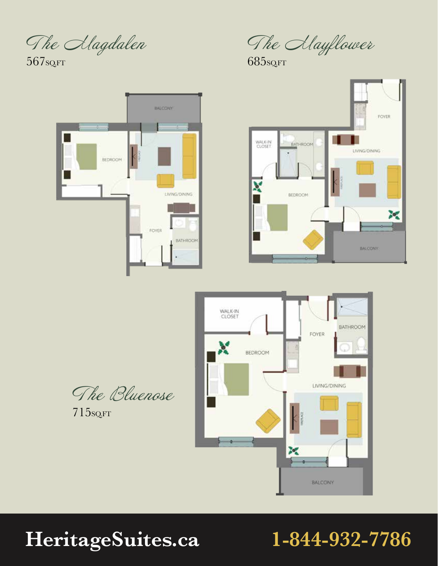The Alagdalen

567sq.FT



The Alayflower

685SQ.FT





The Bluenose

715SQ.FT